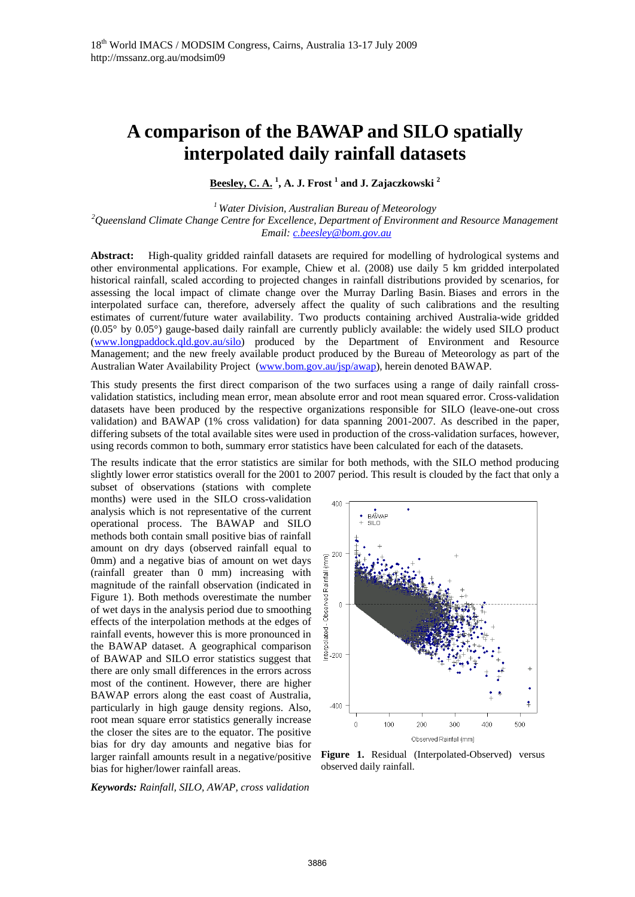# **A comparison of the BAWAP and SILO spatially interpolated daily rainfall datasets**

**Beesley, C. A. <sup>1</sup> , A. J. Frost 1 and J. Zajaczkowski 2**

*1 Water Division, Australian Bureau of Meteorology 2* <sup>2</sup> Queensland Climate Change Centre for Excellence, Department of Environment and Resource Management  *Email: c.beesley@bom.gov.au* 

**Abstract:** High-quality gridded rainfall datasets are required for modelling of hydrological systems and other environmental applications. For example, Chiew et al. (2008) use daily 5 km gridded interpolated historical rainfall, scaled according to projected changes in rainfall distributions provided by scenarios, for assessing the local impact of climate change over the Murray Darling Basin. Biases and errors in the interpolated surface can, therefore, adversely affect the quality of such calibrations and the resulting estimates of current/future water availability. Two products containing archived Australia-wide gridded (0.05° by 0.05°) gauge-based daily rainfall are currently publicly available: the widely used SILO product (www.longpaddock.qld.gov.au/silo) produced by the Department of Environment and Resource Management; and the new freely available product produced by the Bureau of Meteorology as part of the Australian Water Availability Project (www.bom.gov.au/jsp/awap), herein denoted BAWAP.

This study presents the first direct comparison of the two surfaces using a range of daily rainfall crossvalidation statistics, including mean error, mean absolute error and root mean squared error. Cross-validation datasets have been produced by the respective organizations responsible for SILO (leave-one-out cross validation) and BAWAP (1% cross validation) for data spanning 2001-2007. As described in the paper, differing subsets of the total available sites were used in production of the cross-validation surfaces, however, using records common to both, summary error statistics have been calculated for each of the datasets.

The results indicate that the error statistics are similar for both methods, with the SILO method producing slightly lower error statistics overall for the 2001 to 2007 period. This result is clouded by the fact that only a

subset of observations (stations with complete months) were used in the SILO cross-validation analysis which is not representative of the current operational process. The BAWAP and SILO methods both contain small positive bias of rainfall amount on dry days (observed rainfall equal to 0mm) and a negative bias of amount on wet days (rainfall greater than 0 mm) increasing with magnitude of the rainfall observation (indicated in Figure 1). Both methods overestimate the number of wet days in the analysis period due to smoothing effects of the interpolation methods at the edges of rainfall events, however this is more pronounced in the BAWAP dataset. A geographical comparison of BAWAP and SILO error statistics suggest that there are only small differences in the errors across most of the continent. However, there are higher BAWAP errors along the east coast of Australia, particularly in high gauge density regions. Also, root mean square error statistics generally increase the closer the sites are to the equator. The positive bias for dry day amounts and negative bias for larger rainfall amounts result in a negative/positive bias for higher/lower rainfall areas.





**Figure 1.** Residual (Interpolated-Observed) versus observed daily rainfall.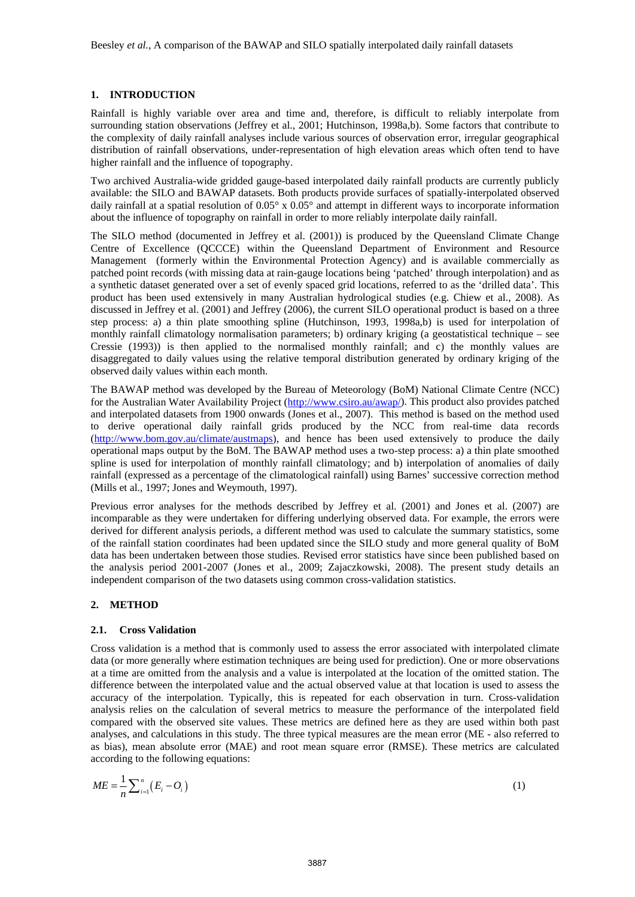## **1. INTRODUCTION**

Rainfall is highly variable over area and time and, therefore, is difficult to reliably interpolate from surrounding station observations (Jeffrey et al., 2001; Hutchinson, 1998a,b). Some factors that contribute to the complexity of daily rainfall analyses include various sources of observation error, irregular geographical distribution of rainfall observations, under-representation of high elevation areas which often tend to have higher rainfall and the influence of topography.

Two archived Australia-wide gridded gauge-based interpolated daily rainfall products are currently publicly available: the SILO and BAWAP datasets. Both products provide surfaces of spatially-interpolated observed daily rainfall at a spatial resolution of  $0.05^{\circ}$  x  $0.05^{\circ}$  and attempt in different ways to incorporate information about the influence of topography on rainfall in order to more reliably interpolate daily rainfall.

The SILO method (documented in Jeffrey et al. (2001)) is produced by the Queensland Climate Change Centre of Excellence (QCCCE) within the Queensland Department of Environment and Resource Management (formerly within the Environmental Protection Agency) and is available commercially as patched point records (with missing data at rain-gauge locations being 'patched' through interpolation) and as a synthetic dataset generated over a set of evenly spaced grid locations, referred to as the 'drilled data'. This product has been used extensively in many Australian hydrological studies (e.g. Chiew et al., 2008). As discussed in Jeffrey et al. (2001) and Jeffrey (2006), the current SILO operational product is based on a three step process: a) a thin plate smoothing spline (Hutchinson, 1993, 1998a,b) is used for interpolation of monthly rainfall climatology normalisation parameters; b) ordinary kriging (a geostatistical technique – see Cressie (1993)) is then applied to the normalised monthly rainfall; and c) the monthly values are disaggregated to daily values using the relative temporal distribution generated by ordinary kriging of the observed daily values within each month.

The BAWAP method was developed by the Bureau of Meteorology (BoM) National Climate Centre (NCC) for the Australian Water Availability Project (http://www.csiro.au/awap/). This product also provides patched and interpolated datasets from 1900 onwards (Jones et al., 2007). This method is based on the method used to derive operational daily rainfall grids produced by the NCC from real-time data records (http://www.bom.gov.au/climate/austmaps), and hence has been used extensively to produce the daily operational maps output by the BoM. The BAWAP method uses a two-step process: a) a thin plate smoothed spline is used for interpolation of monthly rainfall climatology; and b) interpolation of anomalies of daily rainfall (expressed as a percentage of the climatological rainfall) using Barnes' successive correction method (Mills et al., 1997; Jones and Weymouth, 1997).

Previous error analyses for the methods described by Jeffrey et al. (2001) and Jones et al. (2007) are incomparable as they were undertaken for differing underlying observed data. For example, the errors were derived for different analysis periods, a different method was used to calculate the summary statistics, some of the rainfall station coordinates had been updated since the SILO study and more general quality of BoM data has been undertaken between those studies. Revised error statistics have since been published based on the analysis period 2001-2007 (Jones et al., 2009; Zajaczkowski, 2008). The present study details an independent comparison of the two datasets using common cross-validation statistics.

## **2. METHOD**

### **2.1. Cross Validation**

Cross validation is a method that is commonly used to assess the error associated with interpolated climate data (or more generally where estimation techniques are being used for prediction). One or more observations at a time are omitted from the analysis and a value is interpolated at the location of the omitted station. The difference between the interpolated value and the actual observed value at that location is used to assess the accuracy of the interpolation. Typically, this is repeated for each observation in turn. Cross-validation analysis relies on the calculation of several metrics to measure the performance of the interpolated field compared with the observed site values. These metrics are defined here as they are used within both past analyses, and calculations in this study. The three typical measures are the mean error (ME - also referred to as bias), mean absolute error (MAE) and root mean square error (RMSE). These metrics are calculated according to the following equations:

$$
ME = \frac{1}{n} \sum_{i=1}^{n} (E_i - O_i)
$$
 (1)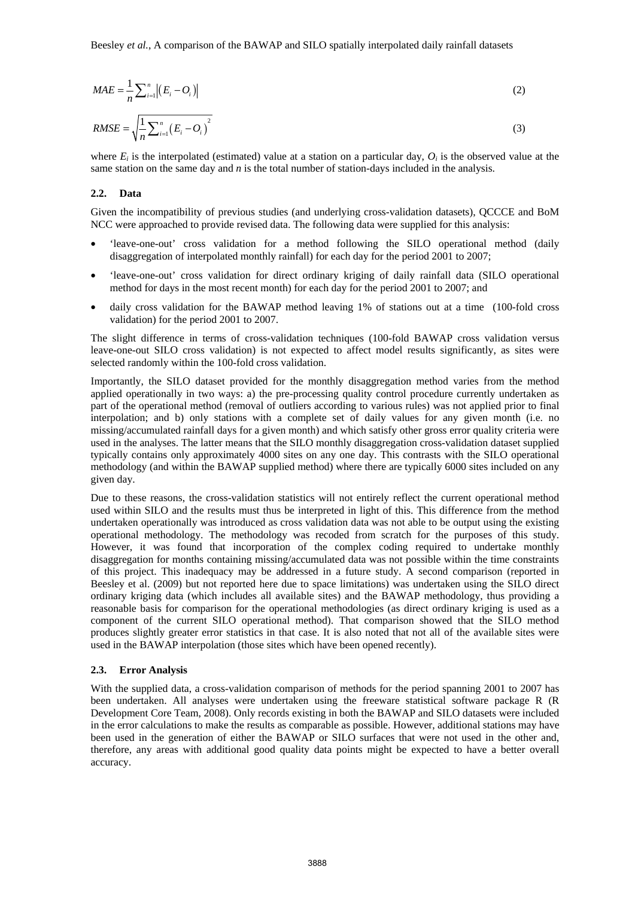$$
MAE = \frac{1}{n} \sum_{i=1}^{n} |(E_i - O_i)| \tag{2}
$$

$$
RMSE = \sqrt{\frac{1}{n} \sum_{i=1}^{n} (E_i - O_i)^2}
$$
 (3)

where  $E_i$  is the interpolated (estimated) value at a station on a particular day,  $O_i$  is the observed value at the same station on the same day and *n* is the total number of station-days included in the analysis.

#### **2.2. Data**

Given the incompatibility of previous studies (and underlying cross-validation datasets), QCCCE and BoM NCC were approached to provide revised data. The following data were supplied for this analysis:

- 'leave-one-out' cross validation for a method following the SILO operational method (daily disaggregation of interpolated monthly rainfall) for each day for the period 2001 to 2007;
- 'leave-one-out' cross validation for direct ordinary kriging of daily rainfall data (SILO operational method for days in the most recent month) for each day for the period 2001 to 2007; and
- daily cross validation for the BAWAP method leaving 1% of stations out at a time (100-fold cross validation) for the period 2001 to 2007.

The slight difference in terms of cross-validation techniques (100-fold BAWAP cross validation versus leave-one-out SILO cross validation) is not expected to affect model results significantly, as sites were selected randomly within the 100-fold cross validation.

Importantly, the SILO dataset provided for the monthly disaggregation method varies from the method applied operationally in two ways: a) the pre-processing quality control procedure currently undertaken as part of the operational method (removal of outliers according to various rules) was not applied prior to final interpolation; and b) only stations with a complete set of daily values for any given month (i.e. no missing/accumulated rainfall days for a given month) and which satisfy other gross error quality criteria were used in the analyses. The latter means that the SILO monthly disaggregation cross-validation dataset supplied typically contains only approximately 4000 sites on any one day. This contrasts with the SILO operational methodology (and within the BAWAP supplied method) where there are typically 6000 sites included on any given day.

Due to these reasons, the cross-validation statistics will not entirely reflect the current operational method used within SILO and the results must thus be interpreted in light of this. This difference from the method undertaken operationally was introduced as cross validation data was not able to be output using the existing operational methodology. The methodology was recoded from scratch for the purposes of this study. However, it was found that incorporation of the complex coding required to undertake monthly disaggregation for months containing missing/accumulated data was not possible within the time constraints of this project. This inadequacy may be addressed in a future study. A second comparison (reported in Beesley et al. (2009) but not reported here due to space limitations) was undertaken using the SILO direct ordinary kriging data (which includes all available sites) and the BAWAP methodology, thus providing a reasonable basis for comparison for the operational methodologies (as direct ordinary kriging is used as a component of the current SILO operational method). That comparison showed that the SILO method produces slightly greater error statistics in that case. It is also noted that not all of the available sites were used in the BAWAP interpolation (those sites which have been opened recently).

## **2.3. Error Analysis**

With the supplied data, a cross-validation comparison of methods for the period spanning 2001 to 2007 has been undertaken. All analyses were undertaken using the freeware statistical software package R (R Development Core Team, 2008). Only records existing in both the BAWAP and SILO datasets were included in the error calculations to make the results as comparable as possible. However, additional stations may have been used in the generation of either the BAWAP or SILO surfaces that were not used in the other and, therefore, any areas with additional good quality data points might be expected to have a better overall accuracy.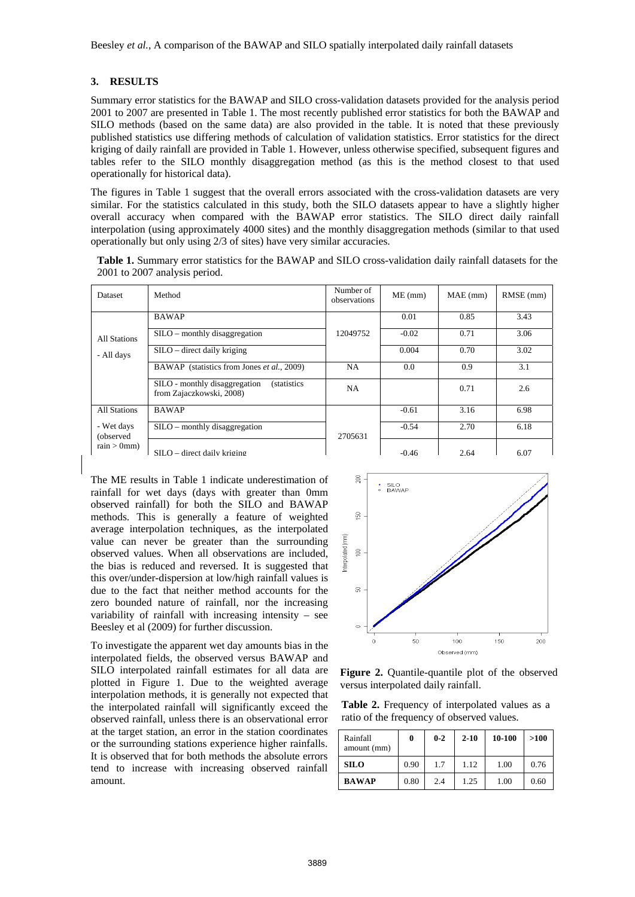## **3. RESULTS**

Summary error statistics for the BAWAP and SILO cross-validation datasets provided for the analysis period 2001 to 2007 are presented in Table 1. The most recently published error statistics for both the BAWAP and SILO methods (based on the same data) are also provided in the table. It is noted that these previously published statistics use differing methods of calculation of validation statistics. Error statistics for the direct kriging of daily rainfall are provided in Table 1. However, unless otherwise specified, subsequent figures and tables refer to the SILO monthly disaggregation method (as this is the method closest to that used operationally for historical data).

The figures in Table 1 suggest that the overall errors associated with the cross-validation datasets are very similar. For the statistics calculated in this study, both the SILO datasets appear to have a slightly higher overall accuracy when compared with the BAWAP error statistics. The SILO direct daily rainfall interpolation (using approximately 4000 sites) and the monthly disaggregation methods (similar to that used operationally but only using 2/3 of sites) have very similar accuracies.

**Table 1.** Summary error statistics for the BAWAP and SILO cross-validation daily rainfall datasets for the 2001 to 2007 analysis period.

| Dataset                                 | Method                                                                           | Number of<br>observations | $ME$ (mm) | $MAE$ (mm) | $RMSE$ (mm) |
|-----------------------------------------|----------------------------------------------------------------------------------|---------------------------|-----------|------------|-------------|
| All Stations<br>- All days              | <b>BAWAP</b>                                                                     |                           | 0.01      | 0.85       | 3.43        |
|                                         | S ILO – monthly disagreement                                                     | 12049752                  | $-0.02$   | 0.71       | 3.06        |
|                                         | $S ILO$ – direct daily kriging                                                   |                           | 0.004     | 0.70       | 3.02        |
|                                         | BAWAP (statistics from Jones et al., 2009)                                       | NA                        | 0.0       | 0.9        | 3.1         |
|                                         | SILO - monthly disaggregation<br><i>(statistics)</i><br>from Zajaczkowski, 2008) | <b>NA</b>                 |           | 0.71       | 2.6         |
| All Stations                            | <b>BAWAP</b>                                                                     |                           | $-0.61$   | 3.16       | 6.98        |
| - Wet days<br>(observed)<br>rain > 0mm) | $S ILO$ – monthly disaggregation                                                 | 2705631                   | $-0.54$   | 2.70       | 6.18        |
|                                         | $SILO$ – direct daily kriging                                                    |                           | $-0.46$   | 2.64       | 6.07        |

The ME results in Table 1 indicate underestimation of rainfall for wet days (days with greater than 0mm observed rainfall) for both the SILO and BAWAP methods. This is generally a feature of weighted average interpolation techniques, as the interpolated value can never be greater than the surrounding observed values. When all observations are included, the bias is reduced and reversed. It is suggested that this over/under-dispersion at low/high rainfall values is due to the fact that neither method accounts for the zero bounded nature of rainfall, nor the increasing variability of rainfall with increasing intensity – see Beesley et al (2009) for further discussion.

To investigate the apparent wet day amounts bias in the interpolated fields, the observed versus BAWAP and SILO interpolated rainfall estimates for all data are plotted in Figure 1. Due to the weighted average interpolation methods, it is generally not expected that the interpolated rainfall will significantly exceed the observed rainfall, unless there is an observational error at the target station, an error in the station coordinates or the surrounding stations experience higher rainfalls. It is observed that for both methods the absolute errors tend to increase with increasing observed rainfall amount.



**Figure 2.** Quantile-quantile plot of the observed versus interpolated daily rainfall.

**Table 2.** Frequency of interpolated values as a ratio of the frequency of observed values.

| Rainfall<br>amount (mm) |      | $0 - 2$ | $2 - 10$ | 10-100 | >100 |
|-------------------------|------|---------|----------|--------|------|
| <b>SILO</b>             | 0.90 | 1.7     | 1.12     | 1.00   | 0.76 |
| <b>BAWAP</b>            | 0.80 | 2.4     | 1.25     | 1.00   | 0.60 |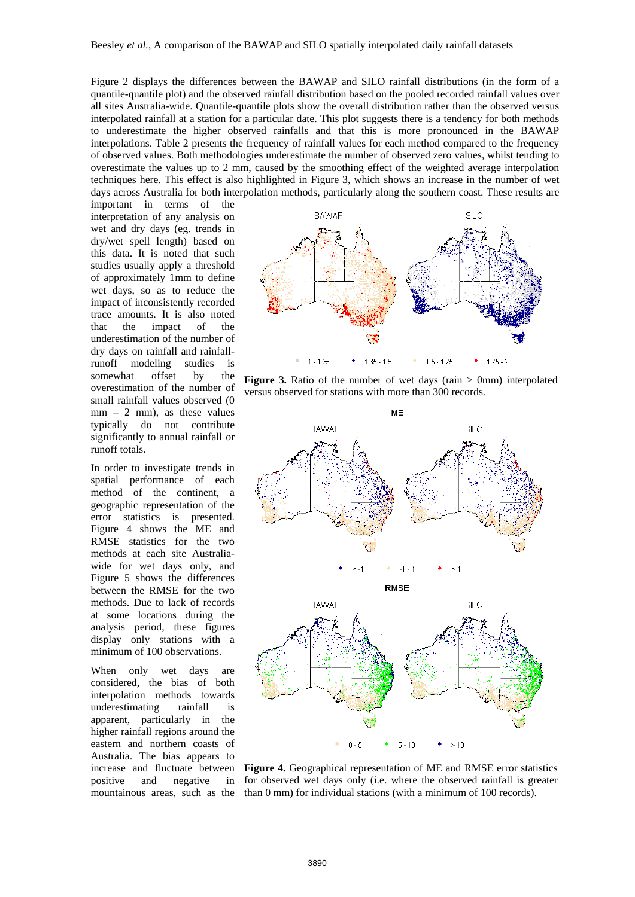Figure 2 displays the differences between the BAWAP and SILO rainfall distributions (in the form of a quantile-quantile plot) and the observed rainfall distribution based on the pooled recorded rainfall values over all sites Australia-wide. Quantile-quantile plots show the overall distribution rather than the observed versus interpolated rainfall at a station for a particular date. This plot suggests there is a tendency for both methods to underestimate the higher observed rainfalls and that this is more pronounced in the BAWAP interpolations. Table 2 presents the frequency of rainfall values for each method compared to the frequency of observed values. Both methodologies underestimate the number of observed zero values, whilst tending to overestimate the values up to 2 mm, caused by the smoothing effect of the weighted average interpolation techniques here. This effect is also highlighted in Figure 3, which shows an increase in the number of wet days across Australia for both interpolation methods, particularly along the southern coast. These results are

important in terms of the interpretation of any analysis on wet and dry days (eg. trends in dry/wet spell length) based on this data. It is noted that such studies usually apply a threshold of approximately 1mm to define wet days, so as to reduce the impact of inconsistently recorded trace amounts. It is also noted that the impact of the underestimation of the number of dry days on rainfall and rainfallrunoff modeling studies is somewhat offset by the overestimation of the number of small rainfall values observed (0  $mm - 2 mm$ , as these values typically do not contribute significantly to annual rainfall or runoff totals.

In order to investigate trends in spatial performance of each method of the continent, a geographic representation of the error statistics is presented. Figure 4 shows the ME and RMSE statistics for the two methods at each site Australiawide for wet days only, and Figure 5 shows the differences between the RMSE for the two methods. Due to lack of records at some locations during the analysis period, these figures display only stations with a minimum of 100 observations.

When only wet days are considered, the bias of both interpolation methods towards underestimating rainfall is apparent, particularly in the higher rainfall regions around the eastern and northern coasts of Australia. The bias appears to increase and fluctuate between positive and negative in mountainous areas, such as the



**Figure 3.** Ratio of the number of wet days (rain > 0mm) interpolated versus observed for stations with more than 300 records.



**Figure 4.** Geographical representation of ME and RMSE error statistics for observed wet days only (i.e. where the observed rainfall is greater than 0 mm) for individual stations (with a minimum of 100 records).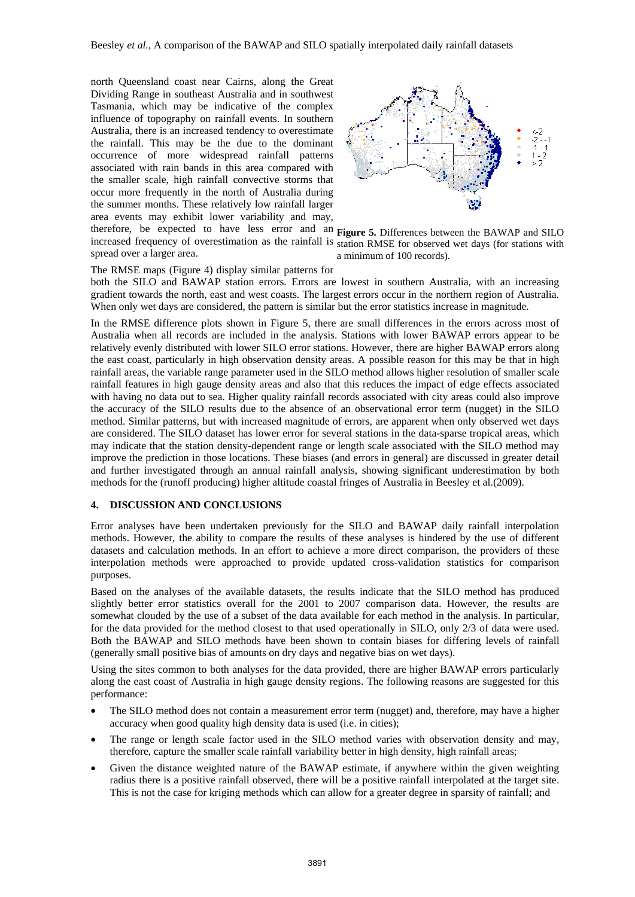therefore, be expected to have less error and an **Figure 5.** Differences between the BAWAP and SILO north Queensland coast near Cairns, along the Great Dividing Range in southeast Australia and in southwest Tasmania, which may be indicative of the complex influence of topography on rainfall events. In southern Australia, there is an increased tendency to overestimate the rainfall. This may be the due to the dominant occurrence of more widespread rainfall patterns associated with rain bands in this area compared with the smaller scale, high rainfall convective storms that occur more frequently in the north of Australia during the summer months. These relatively low rainfall larger area events may exhibit lower variability and may,

increased frequency of overestimation as the rainfall is station RMSE for observed wet days (for stations with spread over a larger area.



a minimum of 100 records).

The RMSE maps (Figure 4) display similar patterns for both the SILO and BAWAP station errors. Errors are lowest in southern Australia, with an increasing gradient towards the north, east and west coasts. The largest errors occur in the northern region of Australia. When only wet days are considered, the pattern is similar but the error statistics increase in magnitude.

In the RMSE difference plots shown in Figure 5, there are small differences in the errors across most of Australia when all records are included in the analysis. Stations with lower BAWAP errors appear to be relatively evenly distributed with lower SILO error stations. However, there are higher BAWAP errors along the east coast, particularly in high observation density areas. A possible reason for this may be that in high rainfall areas, the variable range parameter used in the SILO method allows higher resolution of smaller scale rainfall features in high gauge density areas and also that this reduces the impact of edge effects associated with having no data out to sea. Higher quality rainfall records associated with city areas could also improve the accuracy of the SILO results due to the absence of an observational error term (nugget) in the SILO method. Similar patterns, but with increased magnitude of errors, are apparent when only observed wet days are considered. The SILO dataset has lower error for several stations in the data-sparse tropical areas, which may indicate that the station density-dependent range or length scale associated with the SILO method may improve the prediction in those locations. These biases (and errors in general) are discussed in greater detail and further investigated through an annual rainfall analysis, showing significant underestimation by both methods for the (runoff producing) higher altitude coastal fringes of Australia in Beesley et al.(2009).

## **4. DISCUSSION AND CONCLUSIONS**

Error analyses have been undertaken previously for the SILO and BAWAP daily rainfall interpolation methods. However, the ability to compare the results of these analyses is hindered by the use of different datasets and calculation methods. In an effort to achieve a more direct comparison, the providers of these interpolation methods were approached to provide updated cross-validation statistics for comparison purposes.

Based on the analyses of the available datasets, the results indicate that the SILO method has produced slightly better error statistics overall for the 2001 to 2007 comparison data. However, the results are somewhat clouded by the use of a subset of the data available for each method in the analysis. In particular, for the data provided for the method closest to that used operationally in SILO, only 2/3 of data were used. Both the BAWAP and SILO methods have been shown to contain biases for differing levels of rainfall (generally small positive bias of amounts on dry days and negative bias on wet days).

Using the sites common to both analyses for the data provided, there are higher BAWAP errors particularly along the east coast of Australia in high gauge density regions. The following reasons are suggested for this performance:

- The SILO method does not contain a measurement error term (nugget) and, therefore, may have a higher accuracy when good quality high density data is used (i.e. in cities);
- The range or length scale factor used in the SILO method varies with observation density and may, therefore, capture the smaller scale rainfall variability better in high density, high rainfall areas;
- Given the distance weighted nature of the BAWAP estimate, if anywhere within the given weighting radius there is a positive rainfall observed, there will be a positive rainfall interpolated at the target site. This is not the case for kriging methods which can allow for a greater degree in sparsity of rainfall; and